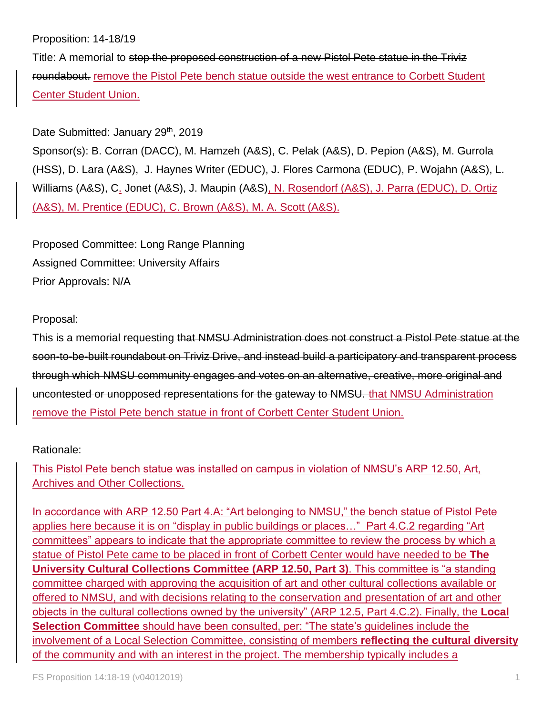## Proposition: 14-18/19

Title: A memorial to stop the proposed construction of a new Pistol Pete statue in the Triviz roundabout. remove the Pistol Pete bench statue outside the west entrance to Corbett Student Center Student Union.

## Date Submitted: January 29<sup>th</sup>, 2019

Sponsor(s): B. Corran (DACC), M. Hamzeh (A&S), C. Pelak (A&S), D. Pepion (A&S), M. Gurrola (HSS), D. Lara (A&S), J. Haynes Writer (EDUC), J. Flores Carmona (EDUC), P. Wojahn (A&S), L. Williams (A&S), C. Jonet (A&S), J. Maupin (A&S), N. Rosendorf (A&S), J. Parra (EDUC), D. Ortiz (A&S), M. Prentice (EDUC), C. Brown (A&S), M. A. Scott (A&S).

Proposed Committee: Long Range Planning Assigned Committee: University Affairs Prior Approvals: N/A

## Proposal:

This is a memorial requesting that NMSU Administration does not construct a Pistol Pete statue at the soon-to-be-built roundabout on Triviz Drive, and instead build a participatory and transparent process through which NMSU community engages and votes on an alternative, creative, more original and uncontested or unopposed representations for the gateway to NMSU. that NMSU Administration remove the Pistol Pete bench statue in front of Corbett Center Student Union.

## Rationale:

This Pistol Pete bench statue was installed on campus in violation of NMSU's ARP 12.50, Art, Archives and Other Collections.

In accordance with ARP 12.50 Part 4.A: "Art belonging to NMSU," the bench statue of Pistol Pete applies here because it is on "display in public buildings or places…" Part 4.C.2 regarding "Art committees" appears to indicate that the appropriate committee to review the process by which a statue of Pistol Pete came to be placed in front of Corbett Center would have needed to be **The University Cultural Collections Committee (ARP 12.50, Part 3)**. This committee is "a standing committee charged with approving the acquisition of art and other cultural collections available or offered to NMSU, and with decisions relating to the conservation and presentation of art and other objects in the cultural collections owned by the university" (ARP 12.5, Part 4.C.2). Finally, the **Local Selection Committee** should have been consulted, per: "The state's quidelines include the involvement of a Local Selection Committee, consisting of members **reflecting the cultural diversity** of the community and with an interest in the project. The membership typically includes a